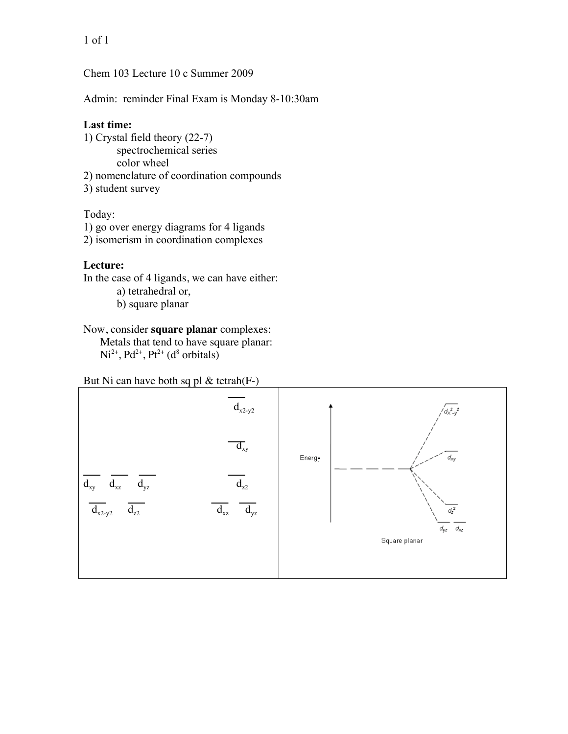1 of 1

Chem 103 Lecture 10 c Summer 2009

Admin: reminder Final Exam is Monday 8-10:30am

# **Last time:**

1) Crystal field theory (22-7) spectrochemical series color wheel 2) nomenclature of coordination compounds 3) student survey

# Today:

1) go over energy diagrams for 4 ligands

2) isomerism in coordination complexes

# **Lecture:**

In the case of 4 ligands, we can have either:

a) tetrahedral or, b) square planar

### Now, consider **square planar** complexes:

Metals that tend to have square planar:  $Ni<sup>2+</sup>, Pd<sup>2+</sup>, Pt<sup>2+</sup> (d<sup>8</sup> orbitals)$ 

But Ni can have both sq pl & tetrah(F-)

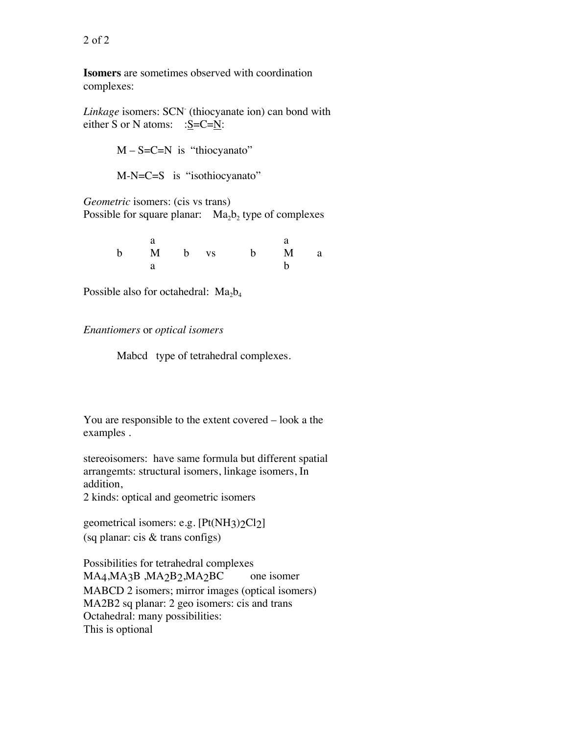**Isomers** are sometimes observed with coordination complexes:

Linkage isomers: SCN<sup>-</sup> (thiocyanate ion) can bond with either S or N atoms:  $:S=C=N$ :

 $M - S = C = N$  is "thiocyanato"

M-N=C=S is "isothiocyanato"

*Geometric* isomers: (cis vs trans) Possible for square planar:  $Ma_2b_2$  type of complexes

|  |  | b M b vs b M a |  |
|--|--|----------------|--|
|  |  |                |  |

Possible also for octahedral:  $Ma_2b_4$ 

#### *Enantiomers* or *optical isomers*

Mabcd type of tetrahedral complexes.

You are responsible to the extent covered – look a the examples .

stereoisomers: have same formula but different spatial arrangemts: structural isomers, linkage isomers, In addition,

2 kinds: optical and geometric isomers

geometrical isomers: e.g. [Pt(NH3)2Cl2] (sq planar: cis & trans configs)

Possibilities for tetrahedral complexes MA4, MA3B , MA2B2, MA2BC one isomer MABCD 2 isomers; mirror images (optical isomers) MA2B2 sq planar: 2 geo isomers: cis and trans Octahedral: many possibilities: This is optional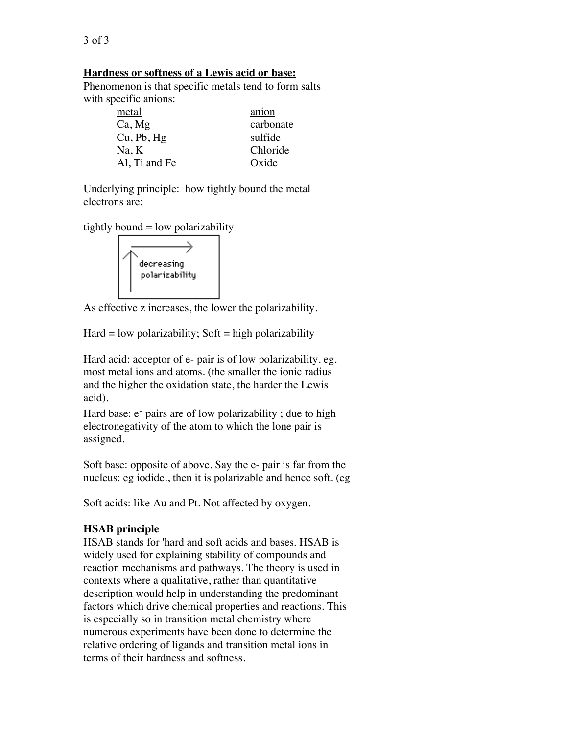# **Hardness or softness of a Lewis acid or base:**

Phenomenon is that specific metals tend to form salts with specific anions:

| metal         | anion     |
|---------------|-----------|
| Ca, Mg        | carbonate |
| Cu, Pb, Hg    | sulfide   |
| Na, K         | Chloride  |
| Al, Ti and Fe | Oxide     |

Underlying principle: how tightly bound the metal electrons are:

tightly bound  $=$  low polarizability



As effective z increases, the lower the polarizability.

 $Hard = low polarizability$ ; Soft = high polarizability

Hard acid: acceptor of e- pair is of low polarizability. eg. most metal ions and atoms. (the smaller the ionic radius and the higher the oxidation state, the harder the Lewis acid).

Hard base:  $e^-$  pairs are of low polarizability; due to high electronegativity of the atom to which the lone pair is assigned.

Soft base: opposite of above. Say the e- pair is far from the nucleus: eg iodide., then it is polarizable and hence soft. (eg

Soft acids: like Au and Pt. Not affected by oxygen.

## **HSAB principle**

HSAB stands for 'hard and soft acids and bases. HSAB is widely used for explaining stability of compounds and reaction mechanisms and pathways. The theory is used in contexts where a qualitative, rather than quantitative description would help in understanding the predominant factors which drive chemical properties and reactions. This is especially so in transition metal chemistry where numerous experiments have been done to determine the relative ordering of ligands and transition metal ions in terms of their hardness and softness.